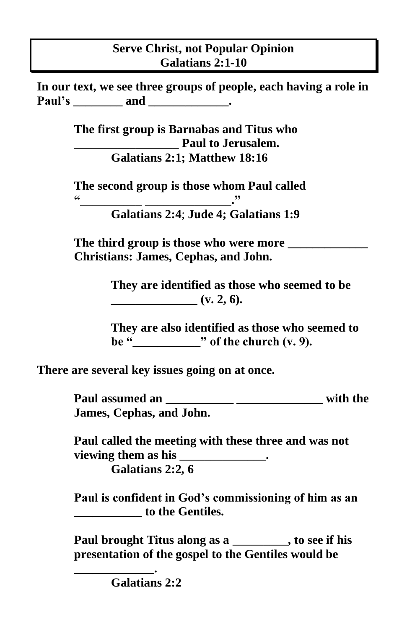## **Serve Christ, not Popular Opinion Galatians 2:1-10**

**In our text, we see three groups of people, each having a role in Paul's** and \_\_\_\_\_\_\_\_\_\_\_\_\_.

> **The first group is Barnabas and Titus who \_\_\_\_\_\_\_\_\_\_\_\_\_\_\_\_\_ Paul to Jerusalem. Galatians 2:1; Matthew 18:16**

**The second group is those whom Paul called "\_\_\_\_\_\_\_\_\_\_ \_\_\_\_\_\_\_\_\_\_\_\_\_\_."**

**Galatians 2:4**; **Jude 4; Galatians 1:9** 

**The third group is those who were more \_\_\_\_\_\_\_\_\_\_\_\_\_ Christians: James, Cephas, and John.** 

> **They are identified as those who seemed to be**   $(v, 2, 6)$ .

**They are also identified as those who seemed to**  be  $\dddot{\bullet}$   $\qquad$  of the church (v. 9).

**There are several key issues going on at once.**

**Paul assumed an \_\_\_\_\_\_\_\_\_\_\_ \_\_\_\_\_\_\_\_\_\_\_\_\_\_ with the James, Cephas, and John.**

**Paul called the meeting with these three and was not**  viewing them as his \_\_\_\_\_\_\_\_\_\_\_\_\_\_\_\_. **Galatians 2:2, 6** 

**Paul is confident in God's commissioning of him as an \_\_\_\_\_\_\_\_\_\_\_ to the Gentiles.** 

**Paul brought Titus along as a \_\_\_\_\_\_\_\_\_, to see if his presentation of the gospel to the Gentiles would be** 

**\_\_\_\_\_\_\_\_\_\_\_\_\_. Galatians 2:2**